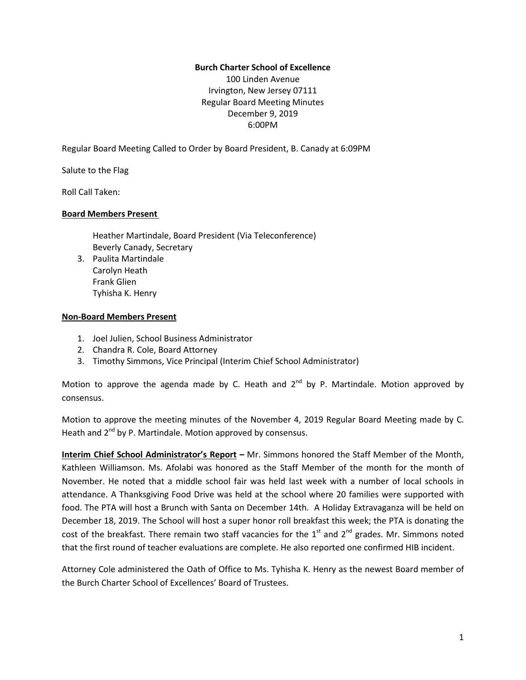## **Burch Charter School of Excellence**

100 Linden Avenue Irvington, New Jersey 07111 Regular Board Meeting Minutes December 9, 2019 6:00PM

Regular Board Meeting Called to Order by Board President, B. Canady at 6:09PM

Salute to the Flag

Roll Call Taken:

#### **Board Members Present**

Heather Martindale, Board President (Via Teleconference) Beverly Canady, Secretary

3. Paulita Martindale Carolyn Heath Frank Glien Tyhisha K. Henry

#### **Non-Board Members Present**

- 1. Joel Julien, School Business Administrator
- 2. Chandra R. Cole, Board Attorney
- 3. Timothy Simmons, Vice Principal (Interim Chief School Administrator)

Motion to approve the agenda made by C. Heath and 2<sup>nd</sup> by P. Martindale. Motion approved by consensus.

Motion to approve the meeting minutes of the November 4, 2019 Regular Board Meeting made by C. Heath and 2<sup>nd</sup> by P. Martindale. Motion approved by consensus.

**Interim Chief School Administrator's Report –** Mr. Simmons honored the Staff Member of the Month, Kathleen Williamson. Ms. Afolabi was honored as the Staff Member of the month for the month of November. He noted that a middle school fair was held last week with a number of local schools in attendance. A Thanksgiving Food Drive was held at the school where 20 families were supported with food. The PTA will host a Brunch with Santa on December 14th. A Holiday Extravaganza will be held on December 18, 2019. The School will host a super honor roll breakfast this week; the PTA is donating the cost of the breakfast. There remain two staff vacancies for the  $1<sup>st</sup>$  and  $2<sup>nd</sup>$  grades. Mr. Simmons noted that the first round of teacher evaluations are complete. He also reported one confirmed HIB incident.

Attorney Cole administered the Oath of Office to Ms. Tyhisha K. Henry as the newest Board member of the Burch Charter School of Excellences' Board of Trustees.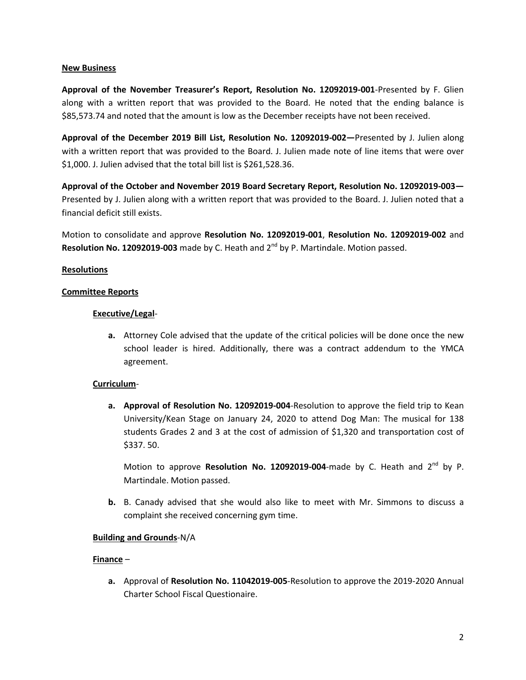#### **New Business**

**Approval of the November Treasurer's Report, Resolution No. 12092019-001**-Presented by F. Glien along with a written report that was provided to the Board. He noted that the ending balance is \$85,573.74 and noted that the amount is low as the December receipts have not been received.

**Approval of the December 2019 Bill List, Resolution No. 12092019-002—**Presented by J. Julien along with a written report that was provided to the Board. J. Julien made note of line items that were over \$1,000. J. Julien advised that the total bill list is \$261,528.36.

**Approval of the October and November 2019 Board Secretary Report, Resolution No. 12092019-003—** Presented by J. Julien along with a written report that was provided to the Board. J. Julien noted that a financial deficit still exists.

Motion to consolidate and approve **Resolution No. 12092019-001**, **Resolution No. 12092019-002** and **Resolution No. 12092019-003** made by C. Heath and 2<sup>nd</sup> by P. Martindale. Motion passed.

#### **Resolutions**

#### **Committee Reports**

#### **Executive/Legal**-

**a.** Attorney Cole advised that the update of the critical policies will be done once the new school leader is hired. Additionally, there was a contract addendum to the YMCA agreement.

## **Curriculum**-

**a. Approval of Resolution No. 12092019-004**-Resolution to approve the field trip to Kean University/Kean Stage on January 24, 2020 to attend Dog Man: The musical for 138 students Grades 2 and 3 at the cost of admission of \$1,320 and transportation cost of \$337. 50.

Motion to approve Resolution No. 12092019-004-made by C. Heath and 2<sup>nd</sup> by P. Martindale. Motion passed.

**b.** B. Canady advised that she would also like to meet with Mr. Simmons to discuss a complaint she received concerning gym time.

## **Building and Grounds**-N/A

## **Finance** –

**a.** Approval of **Resolution No. 11042019-005**-Resolution to approve the 2019-2020 Annual Charter School Fiscal Questionaire.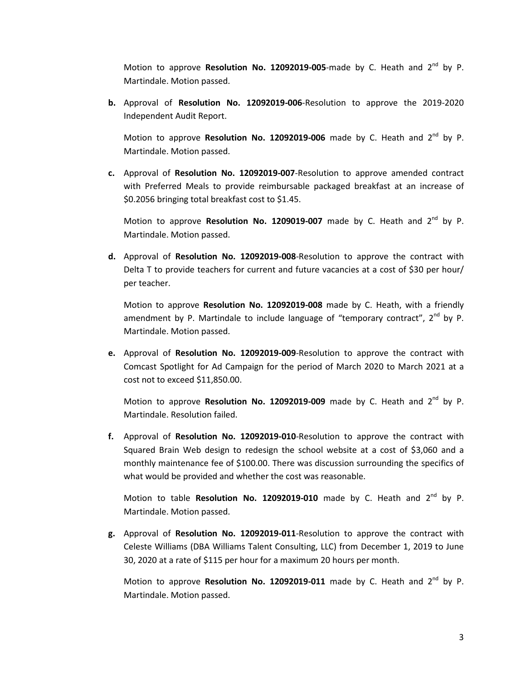Motion to approve **Resolution No. 12092019-005**-made by C. Heath and 2<sup>nd</sup> by P. Martindale. Motion passed.

**b.** Approval of **Resolution No. 12092019-006**-Resolution to approve the 2019-2020 Independent Audit Report.

Motion to approve Resolution No. 12092019-006 made by C. Heath and 2<sup>nd</sup> by P. Martindale. Motion passed.

**c.** Approval of **Resolution No. 12092019-007**-Resolution to approve amended contract with Preferred Meals to provide reimbursable packaged breakfast at an increase of \$0.2056 bringing total breakfast cost to \$1.45.

Motion to approve **Resolution No. 1209019-007** made by C. Heath and 2<sup>nd</sup> by P. Martindale. Motion passed.

**d.** Approval of **Resolution No. 12092019-008**-Resolution to approve the contract with Delta T to provide teachers for current and future vacancies at a cost of \$30 per hour/ per teacher.

Motion to approve **Resolution No. 12092019-008** made by C. Heath, with a friendly amendment by P. Martindale to include language of "temporary contract", 2<sup>nd</sup> by P. Martindale. Motion passed.

**e.** Approval of **Resolution No. 12092019-009**-Resolution to approve the contract with Comcast Spotlight for Ad Campaign for the period of March 2020 to March 2021 at a cost not to exceed \$11,850.00.

Motion to approve Resolution No. 12092019-009 made by C. Heath and 2<sup>nd</sup> by P. Martindale. Resolution failed.

**f.** Approval of **Resolution No. 12092019-010**-Resolution to approve the contract with Squared Brain Web design to redesign the school website at a cost of \$3,060 and a monthly maintenance fee of \$100.00. There was discussion surrounding the specifics of what would be provided and whether the cost was reasonable.

Motion to table Resolution No. 12092019-010 made by C. Heath and 2<sup>nd</sup> by P. Martindale. Motion passed.

**g.** Approval of **Resolution No. 12092019-011**-Resolution to approve the contract with Celeste Williams (DBA Williams Talent Consulting, LLC) from December 1, 2019 to June 30, 2020 at a rate of \$115 per hour for a maximum 20 hours per month.

Motion to approve Resolution No. 12092019-011 made by C. Heath and 2<sup>nd</sup> by P. Martindale. Motion passed.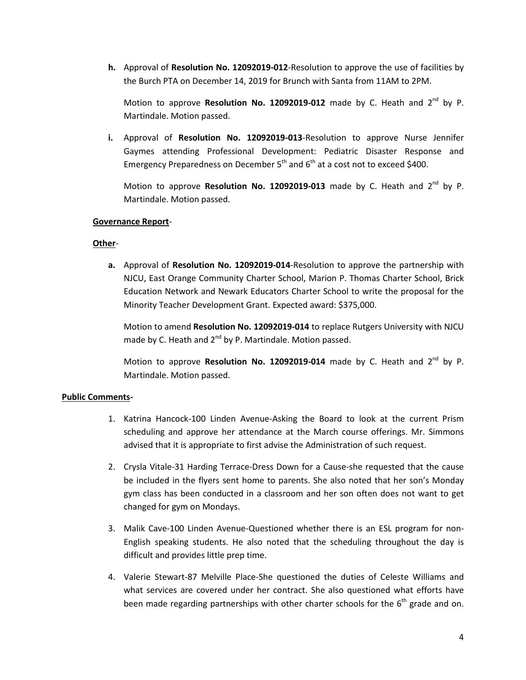**h.** Approval of **Resolution No. 12092019-012**-Resolution to approve the use of facilities by the Burch PTA on December 14, 2019 for Brunch with Santa from 11AM to 2PM.

Motion to approve Resolution No. 12092019-012 made by C. Heath and 2<sup>nd</sup> by P. Martindale. Motion passed.

**i.** Approval of **Resolution No. 12092019-013**-Resolution to approve Nurse Jennifer Gaymes attending Professional Development: Pediatric Disaster Response and Emergency Preparedness on December 5<sup>th</sup> and 6<sup>th</sup> at a cost not to exceed \$400.

Motion to approve Resolution No. 12092019-013 made by C. Heath and 2<sup>nd</sup> by P. Martindale. Motion passed.

## **Governance Report**-

## **Other**-

**a.** Approval of **Resolution No. 12092019-014**-Resolution to approve the partnership with NJCU, East Orange Community Charter School, Marion P. Thomas Charter School, Brick Education Network and Newark Educators Charter School to write the proposal for the Minority Teacher Development Grant. Expected award: \$375,000.

Motion to amend **Resolution No. 12092019-014** to replace Rutgers University with NJCU made by C. Heath and 2<sup>nd</sup> by P. Martindale. Motion passed.

Motion to approve Resolution No. 12092019-014 made by C. Heath and 2<sup>nd</sup> by P. Martindale. Motion passed.

## **Public Comments-**

- 1. Katrina Hancock-100 Linden Avenue-Asking the Board to look at the current Prism scheduling and approve her attendance at the March course offerings. Mr. Simmons advised that it is appropriate to first advise the Administration of such request.
- 2. Crysla Vitale-31 Harding Terrace-Dress Down for a Cause-she requested that the cause be included in the flyers sent home to parents. She also noted that her son's Monday gym class has been conducted in a classroom and her son often does not want to get changed for gym on Mondays.
- 3. Malik Cave-100 Linden Avenue-Questioned whether there is an ESL program for non-English speaking students. He also noted that the scheduling throughout the day is difficult and provides little prep time.
- 4. Valerie Stewart-87 Melville Place-She questioned the duties of Celeste Williams and what services are covered under her contract. She also questioned what efforts have been made regarding partnerships with other charter schools for the  $6<sup>th</sup>$  grade and on.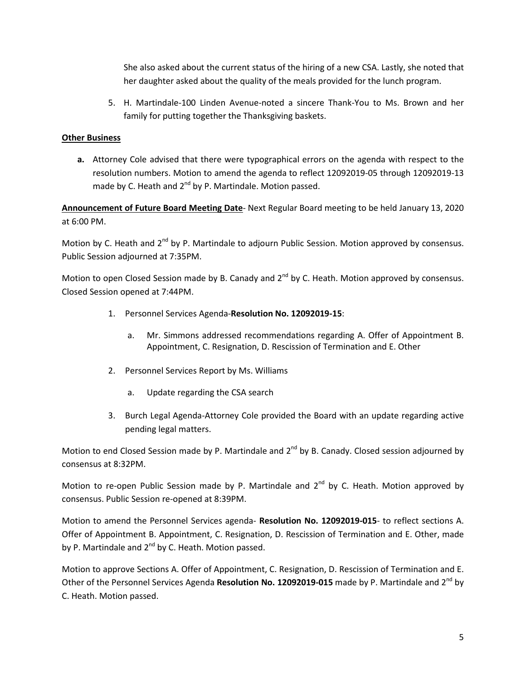She also asked about the current status of the hiring of a new CSA. Lastly, she noted that her daughter asked about the quality of the meals provided for the lunch program.

5. H. Martindale-100 Linden Avenue-noted a sincere Thank-You to Ms. Brown and her family for putting together the Thanksgiving baskets.

# **Other Business**

**a.** Attorney Cole advised that there were typographical errors on the agenda with respect to the resolution numbers. Motion to amend the agenda to reflect 12092019-05 through 12092019-13 made by C. Heath and 2<sup>nd</sup> by P. Martindale. Motion passed.

**Announcement of Future Board Meeting Date**- Next Regular Board meeting to be held January 13, 2020 at 6:00 PM.

Motion by C. Heath and 2<sup>nd</sup> by P. Martindale to adjourn Public Session. Motion approved by consensus. Public Session adjourned at 7:35PM.

Motion to open Closed Session made by B. Canady and 2<sup>nd</sup> by C. Heath. Motion approved by consensus. Closed Session opened at 7:44PM.

- 1. Personnel Services Agenda-**Resolution No. 12092019-15**:
	- a. Mr. Simmons addressed recommendations regarding A. Offer of Appointment B. Appointment, C. Resignation, D. Rescission of Termination and E. Other
- 2. Personnel Services Report by Ms. Williams
	- a. Update regarding the CSA search
- 3. Burch Legal Agenda-Attorney Cole provided the Board with an update regarding active pending legal matters.

Motion to end Closed Session made by P. Martindale and 2<sup>nd</sup> by B. Canady. Closed session adjourned by consensus at 8:32PM.

Motion to re-open Public Session made by P. Martindale and 2<sup>nd</sup> by C. Heath. Motion approved by consensus. Public Session re-opened at 8:39PM.

Motion to amend the Personnel Services agenda- **Resolution No. 12092019-015**- to reflect sections A. Offer of Appointment B. Appointment, C. Resignation, D. Rescission of Termination and E. Other, made by P. Martindale and 2<sup>nd</sup> by C. Heath. Motion passed.

Motion to approve Sections A. Offer of Appointment, C. Resignation, D. Rescission of Termination and E. Other of the Personnel Services Agenda Resolution No. 12092019-015 made by P. Martindale and 2<sup>nd</sup> by C. Heath. Motion passed.